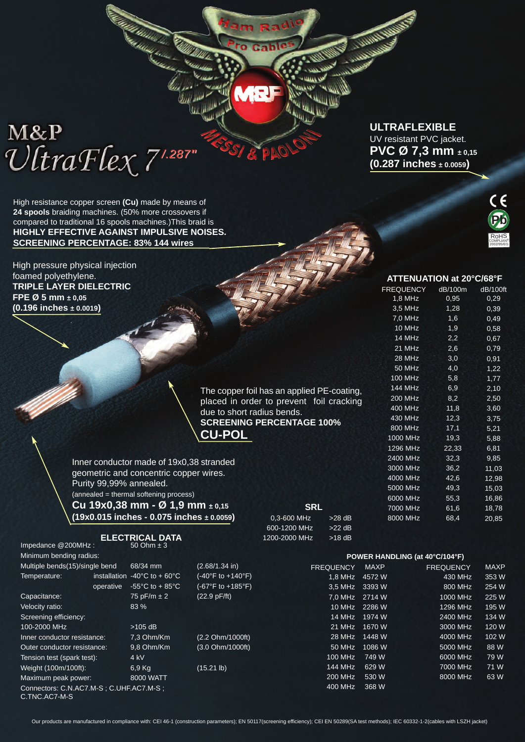# M&P  $\mathcal{U}$ traFlex<sup>71.287</sup>"

High resistance copper screen **(Cu)** made by means of **24 spools** braiding machines. (50% more crossovers if compared to traditional 16 spools machines.)This braid is **HIGHLY EFFECTIVE AGAINST IMPULSIVE NOISES. SCREENING PERCENTAGE: 83% 144 wires**

High pressure physical injection foamed polyethylene. **TRIPLE LAYER DIELECTRIC FPE Ø 5 mm ± 0,05 (0.196 inches ± 0.0019)**

Impedance @200MHz :

Minir

The copper foil has an applied PE-coating, placed in order to prevent foil cracking due to short radius bends. **SCREENING PERCENTAGE 100% CU-POL**

m Ra

**PAO** 

المعادل المقا

Inner conductor made of 19x0,38 stranded geometric and concentric copper wires. Purity 99,99% annealed. (annealed = thermal softening process) **Cu 19x0,38 mm - Ø 1,9 mm ± 0,15 (19x0.015 inches - 0.075 inches ± 0.0059)**

**ELECTRICAL DATA**<br>50 Ohm ± 3

| 600-1200 MHz  |
|---------------|
| 1200-2000 MHz |
|               |
|               |
| FR.           |

**SRL** 0.3-600 MHz > 28 dB

> $>22$  dB  $>18$  dB

T

| Minimum bending radius:                                  |              |                                      |                                    | POWER HANDLING (at 40°C/104°F) |             |                  |             |  |  |  |
|----------------------------------------------------------|--------------|--------------------------------------|------------------------------------|--------------------------------|-------------|------------------|-------------|--|--|--|
| Multiple bends(15)/single bend                           |              | $68/34$ mm                           | $(2.68/1.34)$ in)                  | <b>FREQUENCY</b>               | <b>MAXP</b> | <b>FREQUENCY</b> | <b>MAXP</b> |  |  |  |
| Temperature:                                             | installation | $-40^{\circ}$ C to + 60 $^{\circ}$ C | $(-40^{\circ}F to +140^{\circ}F)$  | $1.8$ MHz                      | 4572 W      | 430 MHz          | 353 W       |  |  |  |
|                                                          | operative    | $-55^{\circ}$ C to + 85 $^{\circ}$ C | $(-67^{\circ}F to +185^{\circ}F)$  | 3.5 MHz                        | 3393 W      | 800 MHz          | 254 W       |  |  |  |
| Capacitance:                                             |              | 75 pF/m $\pm$ 2                      | $(22.9 \text{ pF/ft})$             | 7.0 MHz 2714 W                 |             | 1000 MHz         | 225 W       |  |  |  |
| Velocity ratio:                                          |              | 83%                                  |                                    | 10 MHz                         | 2286 W      | 1296 MHz         | 195 W       |  |  |  |
| Screening efficiency:                                    |              |                                      |                                    | 14 MHz                         | 1974 W      | 2400 MHz         | 134 W       |  |  |  |
| 100-2000 MHz                                             |              | $>105$ dB                            |                                    | 21 MHz                         | 1670 W      | 3000 MHz         | 120 W       |  |  |  |
| Inner conductor resistance:                              |              | 7.3 Ohm/Km                           | $(2.2 \text{ Ohm}/1000 \text{ft})$ | 28 MHz                         | 1448 W      | 4000 MHz         | 102 W       |  |  |  |
| Outer conductor resistance:                              |              | 9.8 Ohm/Km                           | $(3.0 \text{ Ohm}/1000 \text{ft})$ | 50 MHz                         | 1086 W      | 5000 MHz         | 88 W        |  |  |  |
| Tension test (spark test):                               |              | $4$ kV                               |                                    | 100 MHz                        | 749 W       | 6000 MHz         | 79 W        |  |  |  |
| Weight (100m/100ft):                                     |              | $6,9$ Kg                             | $(15.21 \text{ lb})$               | 144 MHz                        | 629 W       | 7000 MHz         | 71 W        |  |  |  |
| Maximum peak power:                                      |              | 8000 WATT                            |                                    | 200 MHz                        | 530 W       | 8000 MHz         | 63 W        |  |  |  |
| Connectors: C.N.AC7.M-S; C.UHF.AC7.M-S;<br>C.TNC.AC7-M-S |              |                                      |                                    | 400 MHz                        | 368 W       |                  |             |  |  |  |

**ULTRAFLEXIBLE** UV resistant PVC jacket. **PVC Ø 7,3 mm ± 0,15 (0.287 inches ± 0.0059)**



### **ATTENUATION at 20°C/68°F** FREQUENCY dB/100m dB/100ft 1,8 MHz 0,95 0,29

| ----           |       | <u>,</u> |
|----------------|-------|----------|
| $3,5$ MHz      | 1,28  | 0,39     |
| $7,0$ MHz      | 1,6   | 0,49     |
| 10 MHz         | 1,9   | 0,58     |
| 14 MHz         | 2,2   | 0,67     |
| 21 MHz         | 2,6   | 0,79     |
| <b>28 MHz</b>  | 3,0   | 0,91     |
| 50 MHz         | 4,0   | 1,22     |
| 100 MHz        | 5,8   | 1,77     |
| 144 MHz        | 6,9   | 2,10     |
| <b>200 MHz</b> | 8,2   | 2,50     |
| 400 MHz        | 11,8  | 3,60     |
| 430 MHz        | 12,3  | 3,75     |
| 800 MHz        | 17,1  | 5,21     |
| 1000 MHz       | 19,3  | 5,88     |
| 1296 MHz       | 22,33 | 6,81     |
| 2400 MHz       | 32,3  | 9,85     |
| 3000 MHz       | 36,2  | 11,03    |
| 4000 MHz       | 42,6  | 12,98    |
| 5000 MHz       | 49,3  | 15,03    |
| 6000 MHz       | 55,3  | 16,86    |
| 7000 MHz       | 61,6  | 18,78    |
| 8000 MHz       | 68,4  | 20,85    |
|                |       |          |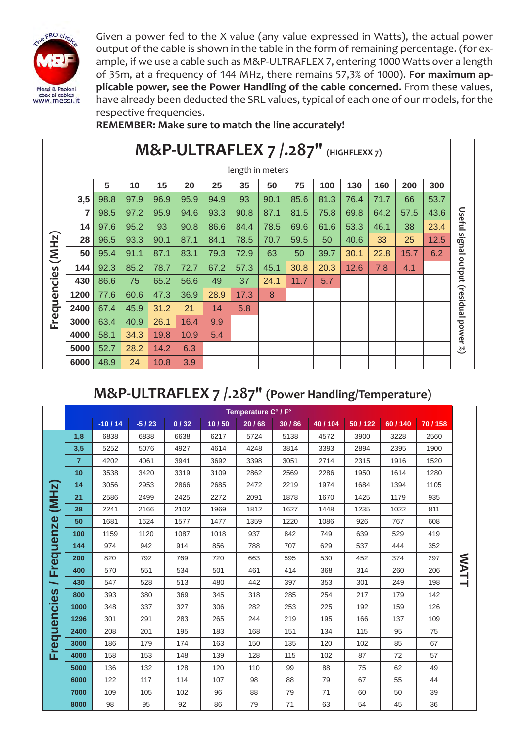

Given a power fed to the X value (any value expressed in Watts), the actual power output of the cable is shown in the table in the form of remaining percentage. (for example, if we use a cable such as M&P-ULTRAFLEX 7, entering 1000 Watts over a length of 35m, at a frequency of 144 MHz, there remains 57,3% of 1000). **For maximum applicable power, see the Power Handling of the cable concerned.** From these values, have already been deducted the SRL values, typical of each one of our models, for the respective frequencies.

**REMEMBER: Make sure to match the line accurately!**

|             | M&P-ULTRAFLEX 7 /.287" (HIGHFLEXX7) |      |      |      |      |      |      |      |      |      |      |      |      |      |                               |
|-------------|-------------------------------------|------|------|------|------|------|------|------|------|------|------|------|------|------|-------------------------------|
|             | length in meters                    |      |      |      |      |      |      |      |      |      |      |      |      |      |                               |
|             |                                     | 5    | 10   | 15   | 20   | 25   | 35   | 50   | 75   | 100  | 130  | 160  | 200  | 300  |                               |
|             | 3,5                                 | 98.8 | 97.9 | 96.9 | 95.9 | 94.9 | 93   | 90.1 | 85.6 | 81.3 | 76.4 | 71.7 | 66   | 53.7 |                               |
|             | 7                                   | 98.5 | 97.2 | 95.9 | 94.6 | 93.3 | 90.8 | 87.1 | 81.5 | 75.8 | 69.8 | 64.2 | 57.5 | 43.6 | Useful                        |
| (MHz)       | 14                                  | 97.6 | 95.2 | 93   | 90.8 | 86.6 | 84.4 | 78.5 | 69.6 | 61.6 | 53.3 | 46.1 | 38   | 23.4 |                               |
|             | 28                                  | 96.5 | 93.3 | 90.1 | 87.1 | 84.1 | 78.5 | 70.7 | 59.5 | 50   | 40.6 | 33   | 25   | 12.5 |                               |
|             | 50                                  | 95.4 | 91.1 | 87.1 | 83.1 | 79.3 | 72.9 | 63   | 50   | 39.7 | 30.1 | 22.8 | 15.7 | 6.2  | signal output (residual power |
|             | 144                                 | 92.3 | 85.2 | 78.7 | 72.7 | 67.2 | 57.3 | 45.1 | 30.8 | 20.3 | 12.6 | 7.8  | 4.1  |      |                               |
| Frequencies | 430                                 | 86.6 | 75   | 65.2 | 56.6 | 49   | 37   | 24.1 | 11.7 | 5.7  |      |      |      |      |                               |
|             | 1200                                | 77.6 | 60.6 | 47.3 | 36.9 | 28.9 | 17.3 | 8    |      |      |      |      |      |      |                               |
|             | 2400                                | 67.4 | 45.9 | 31.2 | 21   | 14   | 5.8  |      |      |      |      |      |      |      |                               |
|             | 3000                                | 63.4 | 40.9 | 26.1 | 16.4 | 9.9  |      |      |      |      |      |      |      |      |                               |
|             | 4000                                | 58.1 | 34.3 | 19.8 | 10.9 | 5.4  |      |      |      |      |      |      |      |      |                               |
|             | 5000                                | 52.7 | 28.2 | 14.2 | 6.3  |      |      |      |      |      |      |      |      |      | ಲ್ಲಿ                          |
|             | 6000                                | 48.9 | 24   | 10.8 | 3.9  |      |      |      |      |      |      |      |      |      |                               |

# **M&P-ULTRAFLEX 7 /.287" (Power Handling/Temperature)**

|                          | Temperature C° / F° |          |         |      |       |       |       |        |        |        |        |      |
|--------------------------|---------------------|----------|---------|------|-------|-------|-------|--------|--------|--------|--------|------|
|                          |                     | $-10/14$ | $-5/23$ | 0/32 | 10/50 | 20/68 | 30/86 | 40/104 | 50/122 | 60/140 | 70/158 |      |
|                          | 1,8                 | 6838     | 6838    | 6638 | 6217  | 5724  | 5138  | 4572   | 3900   | 3228   | 2560   |      |
|                          | 3,5                 | 5252     | 5076    | 4927 | 4614  | 4248  | 3814  | 3393   | 2894   | 2395   | 1900   |      |
|                          | $\overline{7}$      | 4202     | 4061    | 3941 | 3692  | 3398  | 3051  | 2714   | 2315   | 1916   | 1520   |      |
|                          | 10                  | 3538     | 3420    | 3319 | 3109  | 2862  | 2569  | 2286   | 1950   | 1614   | 1280   |      |
|                          | 14                  | 3056     | 2953    | 2866 | 2685  | 2472  | 2219  | 1974   | 1684   | 1394   | 1105   |      |
| (MHz)                    | 21                  | 2586     | 2499    | 2425 | 2272  | 2091  | 1878  | 1670   | 1425   | 1179   | 935    |      |
|                          | 28                  | 2241     | 2166    | 2102 | 1969  | 1812  | 1627  | 1448   | 1235   | 1022   | 811    |      |
|                          | 50                  | 1681     | 1624    | 1577 | 1477  | 1359  | 1220  | 1086   | 926    | 767    | 608    |      |
|                          | 100                 | 1159     | 1120    | 1087 | 1018  | 937   | 842   | 749    | 639    | 529    | 419    |      |
|                          | 144                 | 974      | 942     | 914  | 856   | 788   | 707   | 629    | 537    | 444    | 352    |      |
| Frequenze                | 200                 | 820      | 792     | 769  | 720   | 663   | 595   | 530    | 452    | 374    | 297    | WATT |
|                          | 400                 | 570      | 551     | 534  | 501   | 461   | 414   | 368    | 314    | 260    | 206    |      |
| $\overline{\phantom{0}}$ | 430                 | 547      | 528     | 513  | 480   | 442   | 397   | 353    | 301    | 249    | 198    |      |
|                          | 800                 | 393      | 380     | 369  | 345   | 318   | 285   | 254    | 217    | 179    | 142    |      |
|                          | 1000                | 348      | 337     | 327  | 306   | 282   | 253   | 225    | 192    | 159    | 126    |      |
| <b>Frequencies</b>       | 1296                | 301      | 291     | 283  | 265   | 244   | 219   | 195    | 166    | 137    | 109    |      |
|                          | 2400                | 208      | 201     | 195  | 183   | 168   | 151   | 134    | 115    | 95     | 75     |      |
|                          | 3000                | 186      | 179     | 174  | 163   | 150   | 135   | 120    | 102    | 85     | 67     |      |
|                          | 4000                | 158      | 153     | 148  | 139   | 128   | 115   | 102    | 87     | 72     | 57     |      |
|                          | 5000                | 136      | 132     | 128  | 120   | 110   | 99    | 88     | 75     | 62     | 49     |      |
|                          | 6000                | 122      | 117     | 114  | 107   | 98    | 88    | 79     | 67     | 55     | 44     |      |
|                          | 7000                | 109      | 105     | 102  | 96    | 88    | 79    | 71     | 60     | 50     | 39     |      |
|                          | 8000                | 98       | 95      | 92   | 86    | 79    | 71    | 63     | 54     | 45     | 36     |      |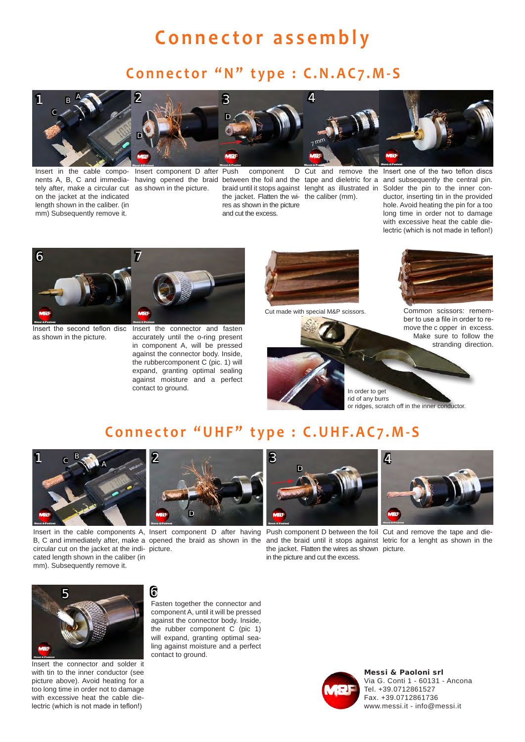### **Connector assembly**

### **Connector "N" type : C.N.AC7.M-S**



Insert in the cable compo-Insert component D after tely after, make a circular cut as shown in the picture. on the jacket at the indicated length shown in the caliber. (in mm) Subsequently remove it.





component the jacket. Flatten the wi-the caliber (mm). res as shown in the picture and cut the excess.



nents A, B, C and immedia- having opened the braid between the foil and the tape and dieletric for a and subsequently the central pin. Cut and remove the Insert one of the two teflon discs Solder the pin to the inner conductor, inserting tin in the provided hole. Avoid heating the pin for a too long time in order not to damage with excessive heat the cable dielectric (which is not made in teflon!)



as shown in the picture.

Insert the second teflon disc Insert the connector and fasten accurately until the o-ring present in component A, will be pressed against the connector body. Inside, the rubbercomponent C (pic. 1) will expand, granting optimal sealing against moisture and a perfect contact to ground.



4

 $7<sub>mm</sub>$ 



Cut made with special M&P scissors. Common scissors: remember to use a file in order to remove the c opper in excess. Make sure to follow the stranding direction.

In order to get rid of any burrs or ridges, scratch off in the inner conductor.

### **Connector "UHF" type : C.UHF.AC7.M-S**



Insert in the cable components A, Insert component D after having Push component D between the foil Cut and remove the tape and die-B, C and immediately after, make a opened the braid as shown in the and the braid until it stops against letric for a lenght as shown in the circular cut on the jacket at the indi-picture. cated length shown in the caliber (in mm). Subsequently remove it.





the jacket. Flatten the wires as shown picture. in the picture and cut the excess.





Insert the connector and solder it with tin to the inner conductor (see picture above). Avoid heating for a too long time in order not to damage with excessive heat the cable dielectric (which is not made in teflon!)

Fasten together the connector and component A, until it will be pressed against the connector body. Inside, the rubber component C (pic 1) will expand, granting optimal sealing against moisture and a perfect contact to ground.



Messi & Paoloni srl Via G. Conti 1 - 60131 - Ancona Tel. +39.0712861527 Fax. +39.0712861736 www.messi.it - info@messi.it